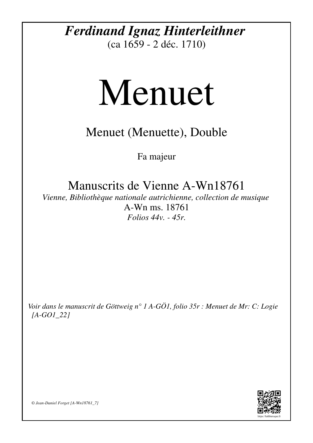## *Ferdinand Ignaz Hinterleithner*

(ca 1659 - 2 déc. 1710)

## Menuet

## Menuet (Menuette), Double

Fa majeur

Manuscrits de Vienne A-Wn18761

*Vienne, Bibliothèque nationale autrichienne, collection de musique* A-Wn ms. 18761 *Folios 44v. - 45r.*

*Voir dans le manuscrit de Göttweig n° 1 A-GÖ1, folio 35r : Menuet de Mr: C: Logie [A-GO1\_22]*



*© Jean-Daniel Forget [A-Wn18761\_7]*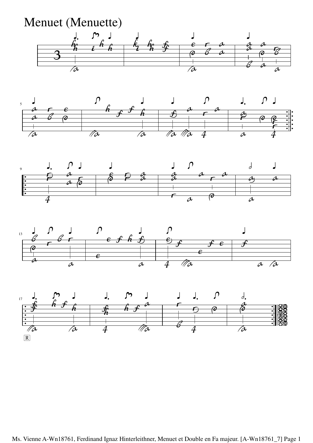Menuet (Menuette) —<br>3 *hh* Y*a* Áõ *i* Ã *<sup>h</sup> <sup>h</sup>* Á *ki* Á *hh ff e d* Y*a* Á *c b a a a a b* Á *a d a cb a*









Ms. Vienne A-Wn18761, Ferdinand Ignaz Hinterleithner, Menuet et Double en Fa majeur. [A-Wn18761\_7] Page 1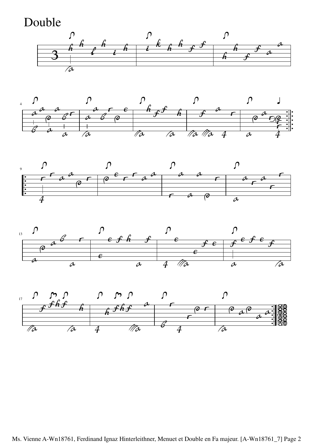Double